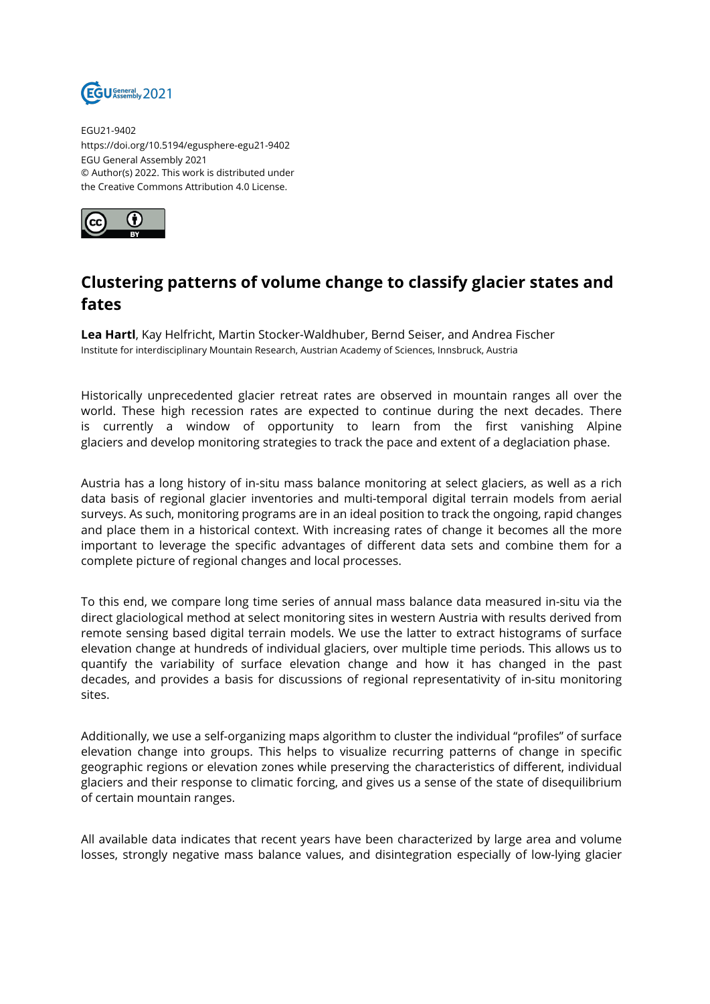

EGU21-9402 https://doi.org/10.5194/egusphere-egu21-9402 EGU General Assembly 2021 © Author(s) 2022. This work is distributed under the Creative Commons Attribution 4.0 License.



## **Clustering patterns of volume change to classify glacier states and fates**

**Lea Hartl**, Kay Helfricht, Martin Stocker-Waldhuber, Bernd Seiser, and Andrea Fischer Institute for interdisciplinary Mountain Research, Austrian Academy of Sciences, Innsbruck, Austria

Historically unprecedented glacier retreat rates are observed in mountain ranges all over the world. These high recession rates are expected to continue during the next decades. There is currently a window of opportunity to learn from the first vanishing Alpine glaciers and develop monitoring strategies to track the pace and extent of a deglaciation phase.

Austria has a long history of in-situ mass balance monitoring at select glaciers, as well as a rich data basis of regional glacier inventories and multi-temporal digital terrain models from aerial surveys. As such, monitoring programs are in an ideal position to track the ongoing, rapid changes and place them in a historical context. With increasing rates of change it becomes all the more important to leverage the specific advantages of different data sets and combine them for a complete picture of regional changes and local processes.

To this end, we compare long time series of annual mass balance data measured in-situ via the direct glaciological method at select monitoring sites in western Austria with results derived from remote sensing based digital terrain models. We use the latter to extract histograms of surface elevation change at hundreds of individual glaciers, over multiple time periods. This allows us to quantify the variability of surface elevation change and how it has changed in the past decades, and provides a basis for discussions of regional representativity of in-situ monitoring sites.

Additionally, we use a self-organizing maps algorithm to cluster the individual "profiles" of surface elevation change into groups. This helps to visualize recurring patterns of change in specific geographic regions or elevation zones while preserving the characteristics of different, individual glaciers and their response to climatic forcing, and gives us a sense of the state of disequilibrium of certain mountain ranges.

All available data indicates that recent years have been characterized by large area and volume losses, strongly negative mass balance values, and disintegration especially of low-lying glacier